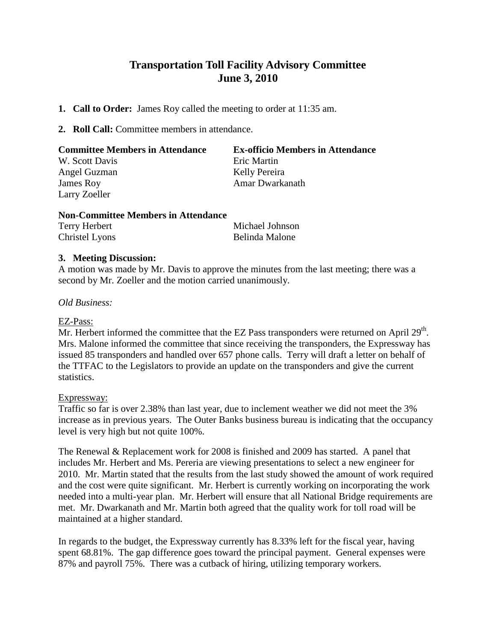# **Transportation Toll Facility Advisory Committee June 3, 2010**

- **1. Call to Order:** James Roy called the meeting to order at 11:35 am.
- **2. Roll Call:** Committee members in attendance.

| <b>Committee Members in Attendance</b> | <b>Ex-officio Members in Attendance</b> |
|----------------------------------------|-----------------------------------------|
| W. Scott Davis                         | Eric Martin                             |
| Angel Guzman                           | Kelly Pereira                           |
| James Roy                              | Amar Dwarkanath                         |
| Larry Zoeller                          |                                         |

## **Non-Committee Members in Attendance**

| Terry Herbert  | Michael Johnson |
|----------------|-----------------|
| Christel Lyons | Belinda Malone  |

## **3. Meeting Discussion:**

A motion was made by Mr. Davis to approve the minutes from the last meeting; there was a second by Mr. Zoeller and the motion carried unanimously.

#### *Old Business:*

#### EZ-Pass:

Mr. Herbert informed the committee that the EZ Pass transponders were returned on April  $29<sup>th</sup>$ . Mrs. Malone informed the committee that since receiving the transponders, the Expressway has issued 85 transponders and handled over 657 phone calls. Terry will draft a letter on behalf of the TTFAC to the Legislators to provide an update on the transponders and give the current statistics.

#### Expressway:

Traffic so far is over 2.38% than last year, due to inclement weather we did not meet the 3% increase as in previous years. The Outer Banks business bureau is indicating that the occupancy level is very high but not quite 100%.

The Renewal & Replacement work for 2008 is finished and 2009 has started. A panel that includes Mr. Herbert and Ms. Pereria are viewing presentations to select a new engineer for 2010. Mr. Martin stated that the results from the last study showed the amount of work required and the cost were quite significant. Mr. Herbert is currently working on incorporating the work needed into a multi-year plan. Mr. Herbert will ensure that all National Bridge requirements are met. Mr. Dwarkanath and Mr. Martin both agreed that the quality work for toll road will be maintained at a higher standard.

In regards to the budget, the Expressway currently has 8.33% left for the fiscal year, having spent 68.81%. The gap difference goes toward the principal payment. General expenses were 87% and payroll 75%. There was a cutback of hiring, utilizing temporary workers.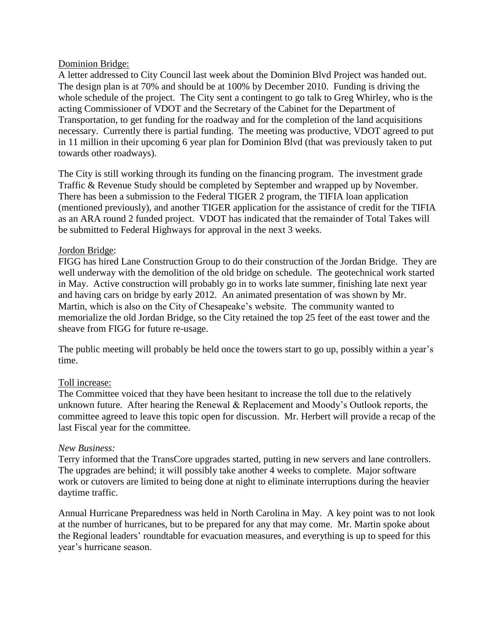#### Dominion Bridge:

A letter addressed to City Council last week about the Dominion Blvd Project was handed out. The design plan is at 70% and should be at 100% by December 2010. Funding is driving the whole schedule of the project. The City sent a contingent to go talk to Greg Whirley, who is the acting Commissioner of VDOT and the Secretary of the Cabinet for the Department of Transportation, to get funding for the roadway and for the completion of the land acquisitions necessary. Currently there is partial funding. The meeting was productive, VDOT agreed to put in 11 million in their upcoming 6 year plan for Dominion Blvd (that was previously taken to put towards other roadways).

The City is still working through its funding on the financing program. The investment grade Traffic & Revenue Study should be completed by September and wrapped up by November. There has been a submission to the Federal TIGER 2 program, the TIFIA loan application (mentioned previously), and another TIGER application for the assistance of credit for the TIFIA as an ARA round 2 funded project. VDOT has indicated that the remainder of Total Takes will be submitted to Federal Highways for approval in the next 3 weeks.

#### Jordon Bridge:

FIGG has hired Lane Construction Group to do their construction of the Jordan Bridge. They are well underway with the demolition of the old bridge on schedule. The geotechnical work started in May. Active construction will probably go in to works late summer, finishing late next year and having cars on bridge by early 2012. An animated presentation of was shown by Mr. Martin, which is also on the City of Chesapeake's website. The community wanted to memorialize the old Jordan Bridge, so the City retained the top 25 feet of the east tower and the sheave from FIGG for future re-usage.

The public meeting will probably be held once the towers start to go up, possibly within a year's time.

## Toll increase:

The Committee voiced that they have been hesitant to increase the toll due to the relatively unknown future. After hearing the Renewal & Replacement and Moody's Outlook reports, the committee agreed to leave this topic open for discussion. Mr. Herbert will provide a recap of the last Fiscal year for the committee.

#### *New Business:*

Terry informed that the TransCore upgrades started, putting in new servers and lane controllers. The upgrades are behind; it will possibly take another 4 weeks to complete. Major software work or cutovers are limited to being done at night to eliminate interruptions during the heavier daytime traffic.

Annual Hurricane Preparedness was held in North Carolina in May. A key point was to not look at the number of hurricanes, but to be prepared for any that may come. Mr. Martin spoke about the Regional leaders' roundtable for evacuation measures, and everything is up to speed for this year's hurricane season.